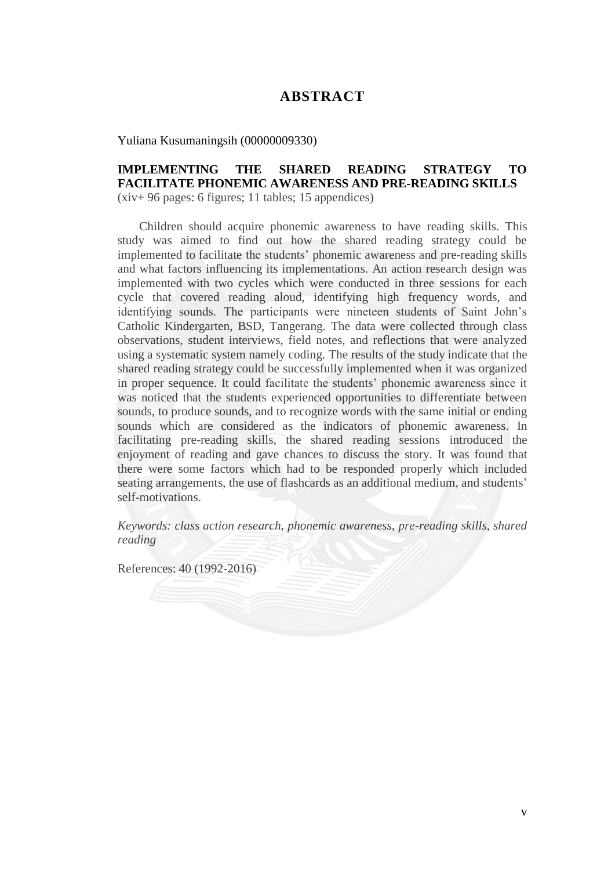## **ABSTRACT**

Yuliana Kusumaningsih (00000009330)

## **IMPLEMENTING THE SHARED READING STRATEGY TO FACILITATE PHONEMIC AWARENESS AND PRE-READING SKILLS**

(xiv+ 96 pages: 6 figures; 11 tables; 15 appendices)

 Children should acquire phonemic awareness to have reading skills. This study was aimed to find out how the shared reading strategy could be implemented to facilitate the students" phonemic awareness and pre-reading skills and what factors influencing its implementations. An action research design was implemented with two cycles which were conducted in three sessions for each cycle that covered reading aloud, identifying high frequency words, and identifying sounds. The participants were nineteen students of Saint John"s Catholic Kindergarten, BSD, Tangerang. The data were collected through class observations, student interviews, field notes, and reflections that were analyzed using a systematic system namely coding. The results of the study indicate that the shared reading strategy could be successfully implemented when it was organized in proper sequence. It could facilitate the students' phonemic awareness since it was noticed that the students experienced opportunities to differentiate between sounds, to produce sounds, and to recognize words with the same initial or ending sounds which are considered as the indicators of phonemic awareness. In facilitating pre-reading skills, the shared reading sessions introduced the enjoyment of reading and gave chances to discuss the story. It was found that there were some factors which had to be responded properly which included seating arrangements, the use of flashcards as an additional medium, and students' self-motivations.

*Keywords: class action research, phonemic awareness, pre-reading skills, shared reading*

References: 40 (1992-2016)